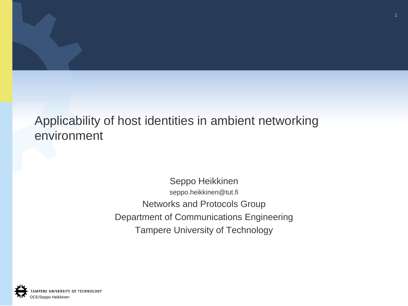## Applicability of host identities in ambient networking environment

#### Seppo Heikkinen seppo.heikkinen@tut.fi Networks and Protocols Group Department of Communications Engineering Tampere University of Technology

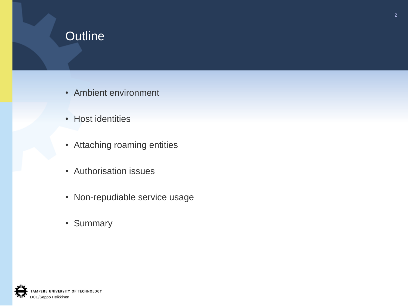# **Outline**

- Ambient environment
- Host identities
- Attaching roaming entities
- Authorisation issues
- Non-repudiable service usage
- Summary

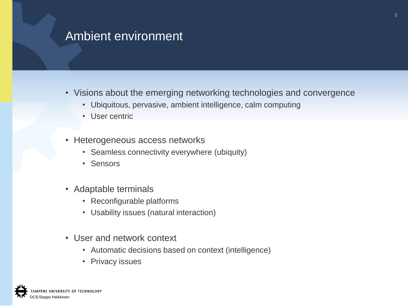## Ambient environment

- Visions about the emerging networking technologies and convergence
	- Ubiquitous, pervasive, ambient intelligence, calm computing
	- User centric
- Heterogeneous access networks
	- Seamless connectivity everywhere (ubiquity)
	- Sensors
- Adaptable terminals
	- Reconfigurable platforms
	- Usability issues (natural interaction)
- User and network context
	- Automatic decisions based on context (intelligence)
	- Privacy issues

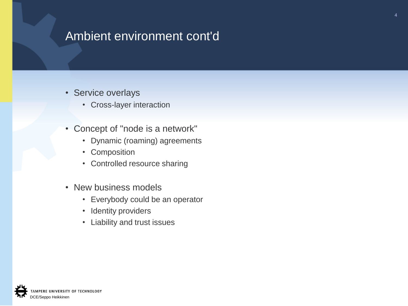## Ambient environment cont'd

- Service overlays
	- Cross-layer interaction
- Concept of "node is a network"
	- Dynamic (roaming) agreements
	- Composition
	- Controlled resource sharing
- New business models
	- Everybody could be an operator
	- Identity providers
	- Liability and trust issues

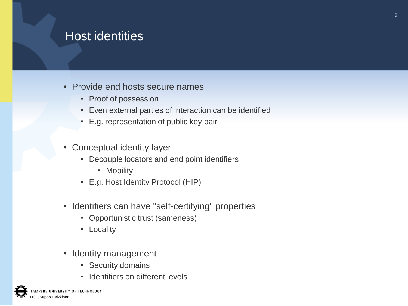### Host identities

- Provide end hosts secure names
	- Proof of possession
	- Even external parties of interaction can be identified
	- E.g. representation of public key pair
- Conceptual identity layer
	- Decouple locators and end point identifiers
		- Mobility
	- E.g. Host Identity Protocol (HIP)
- Identifiers can have "self-certifying" properties
	- Opportunistic trust (sameness)
	- Locality
- Identity management
	- Security domains
	- Identifiers on different levels

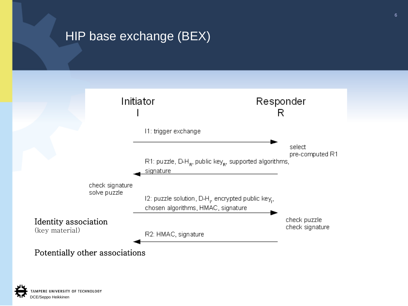# HIP base exchange (BEX)



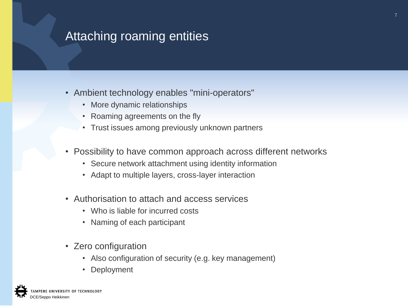## Attaching roaming entities

- Ambient technology enables "mini-operators"
	- More dynamic relationships
	- Roaming agreements on the fly
	- Trust issues among previously unknown partners
- Possibility to have common approach across different networks
	- Secure network attachment using identity information
	- Adapt to multiple layers, cross-layer interaction
- Authorisation to attach and access services
	- Who is liable for incurred costs
	- Naming of each participant
- Zero configuration
	- Also configuration of security (e.g. key management)
	- Deployment

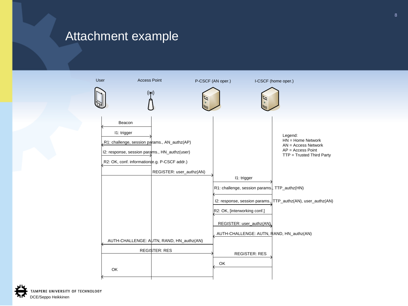#### Attachment example



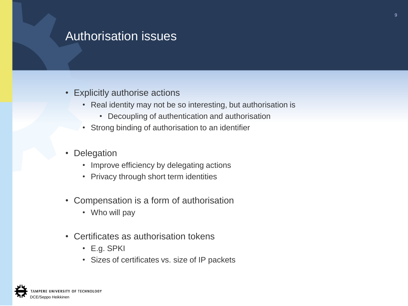### Authorisation issues

- Explicitly authorise actions
	- Real identity may not be so interesting, but authorisation is
		- Decoupling of authentication and authorisation
	- Strong binding of authorisation to an identifier
- **Delegation** 
	- Improve efficiency by delegating actions
	- Privacy through short term identities
- Compensation is a form of authorisation
	- Who will pay
- Certificates as authorisation tokens
	- E.g. SPKI
	- Sizes of certificates vs. size of IP packets

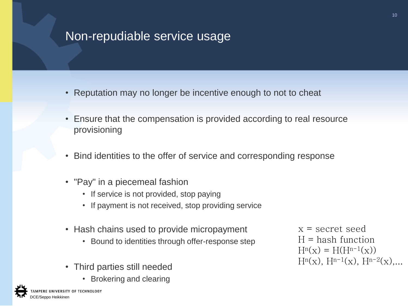## Non-repudiable service usage

- Reputation may no longer be incentive enough to not to cheat
- Ensure that the compensation is provided according to real resource provisioning
- Bind identities to the offer of service and corresponding response
- "Pay" in a piecemeal fashion
	- If service is not provided, stop paying
	- If payment is not received, stop providing service
- Hash chains used to provide micropayment
	- Bound to identities through offer-response step
- Third parties still needed
	- Brokering and clearing

x = secret seed  $H =$  hash function  $H^{n}(x) = H(H^{n-1}(x))$  $H^{n}(x)$ ,  $H^{n-1}(x)$ ,  $H^{n-2}(x)$ ,...

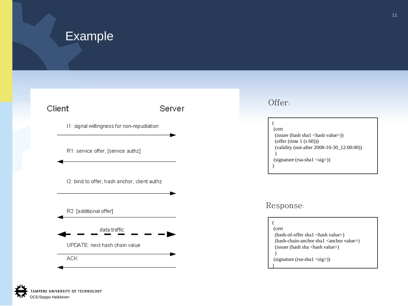#### Example

#### Client

#### Server

- 11: signal willingness for non-repudiation
- R1: service offer, [service authz]
- 12: bind to offer, hash anchor, client authz





#### Offer:

| (cert)                                                       |
|--------------------------------------------------------------|
| $(isu)$ (issuer (hash shal $\langle$ hash value $\rangle$ )) |
| (offer (time $1$ (s 60)))                                    |
| (validity (not-after 2008-10-30_12:00:00))                   |
|                                                              |
| $(signature (rsa-sha1 < sig>)$                               |
|                                                              |
|                                                              |

#### Response:

#### ( (cert (hash-of-offer sha1 <hash value>) (hash-chain-anchor sha1 <anchor value>) (issuer (hash sha <hash value>) ) (signature (rsa-sha1 <sig>)) )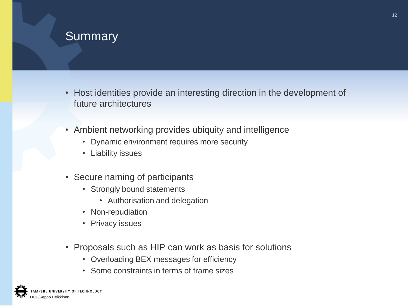### **Summary**

- Host identities provide an interesting direction in the development of future architectures
- Ambient networking provides ubiquity and intelligence
	- Dynamic environment requires more security
	- Liability issues
- Secure naming of participants
	- Strongly bound statements
		- Authorisation and delegation
	- Non-repudiation
	- Privacy issues
- Proposals such as HIP can work as basis for solutions
	- Overloading BEX messages for efficiency
	- Some constraints in terms of frame sizes